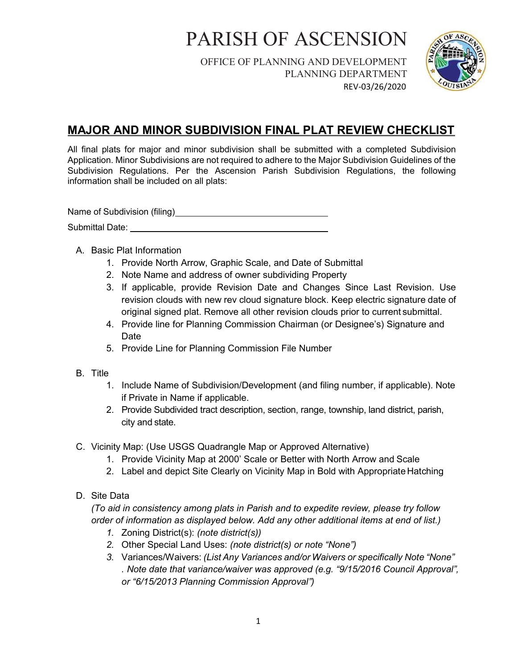OFFICE OF PLANNING AND DEVELOPMENT PLANNING DEPARTMENT REV-03/26/2020



#### MAJOR AND MINOR SUBDIVISION FINAL PLAT REVIEW CHECKLIST

All final plats for major and minor subdivision shall be submitted with a completed Subdivision Application. Minor Subdivisions are not required to adhere to the Major Subdivision Guidelines of the Subdivision Regulations. Per the Ascension Parish Subdivision Regulations, the following information shall be included on all plats:

Name of Subdivision (filing)<br>
Mame of Subdivision (filing) Submittal Date:

- A. Basic Plat Information
	- 1. Provide North Arrow, Graphic Scale, and Date of Submittal
	- 2. Note Name and address of owner subdividing Property
	- 3. If applicable, provide Revision Date and Changes Since Last Revision. Use revision clouds with new rev cloud signature block. Keep electric signature date of original signed plat. Remove all other revision clouds prior to current submittal.
	- 4. Provide line for Planning Commission Chairman (or Designee's) Signature and Date
	- 5. Provide Line for Planning Commission File Number
- B. Title
	- 1. Include Name of Subdivision/Development (and filing number, if applicable). Note if Private in Name if applicable.
	- 2. Provide Subdivided tract description, section, range, township, land district, parish, city and state.
- C. Vicinity Map: (Use USGS Quadrangle Map or Approved Alternative)
	- 1. Provide Vicinity Map at 2000' Scale or Better with North Arrow and Scale
	- 2. Label and depict Site Clearly on Vicinity Map in Bold with Appropriate Hatching
- D. Site Data

(To aid in consistency among plats in Parish and to expedite review, please try follow order of information as displayed below. Add any other additional items at end of list.)

- 1. Zoning District(s): (note district(s))
- 2. Other Special Land Uses: (note district(s) or note "None")
- 3. Variances/Waivers: (List Any Variances and/or Waivers or specifically Note "None" . Note date that variance/waiver was approved (e.g. "9/15/2016 Council Approval", or "6/15/2013 Planning Commission Approval")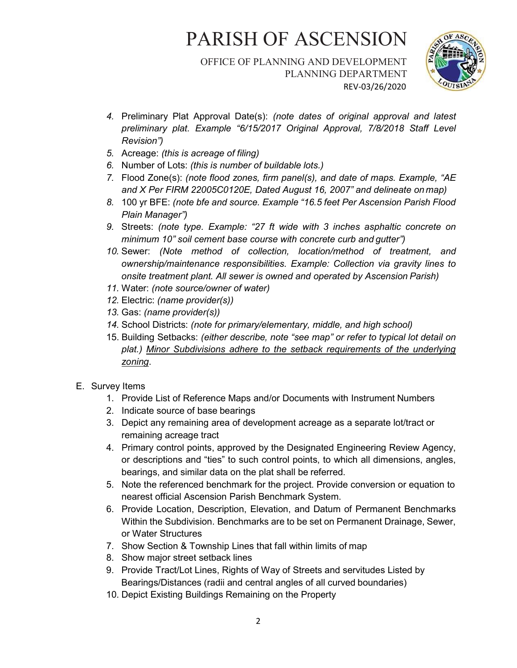#### OFFICE OF PLANNING AND DEVELOPMENT PLANNING DEPARTMENT REV-03/26/2020



- 4. Preliminary Plat Approval Date(s): (note dates of original approval and latest preliminary plat. Example "6/15/2017 Original Approval, 7/8/2018 Staff Level Revision")
- 5. Acreage: (this is acreage of filing)
- 6. Number of Lots: (this is number of buildable lots.)
- 7. Flood Zone(s): (note flood zones, firm panel(s), and date of maps. Example, "AE and X Per FIRM 22005C0120E, Dated August 16, 2007" and delineate on map)
- 8. 100 yr BFE: (note bfe and source. Example "16.5 feet Per Ascension Parish Flood Plain Manager")
- 9. Streets: (note type. Example: "27 ft wide with 3 inches asphaltic concrete on minimum 10" soil cement base course with concrete curb and gutter")
- 10. Sewer: (Note method of collection, location/method of treatment, and ownership/maintenance responsibilities. Example: Collection via gravity lines to onsite treatment plant. All sewer is owned and operated by Ascension Parish)
- 11. Water: (note source/owner of water)
- 12. Electric: (name provider(s))
- 13. Gas: (name provider(s))
- 14. School Districts: (note for primary/elementary, middle, and high school)
- 15. Building Setbacks: (either describe, note "see map" or refer to typical lot detail on plat.) Minor Subdivisions adhere to the setback requirements of the underlying zoning.
- E. Survey Items
	- 1. Provide List of Reference Maps and/or Documents with Instrument Numbers
	- 2. Indicate source of base bearings
	- 3. Depict any remaining area of development acreage as a separate lot/tract or remaining acreage tract
	- 4. Primary control points, approved by the Designated Engineering Review Agency, or descriptions and "ties" to such control points, to which all dimensions, angles, bearings, and similar data on the plat shall be referred.
	- 5. Note the referenced benchmark for the project. Provide conversion or equation to nearest official Ascension Parish Benchmark System.
	- 6. Provide Location, Description, Elevation, and Datum of Permanent Benchmarks Within the Subdivision. Benchmarks are to be set on Permanent Drainage, Sewer, or Water Structures
	- 7. Show Section & Township Lines that fall within limits of map
	- 8. Show major street setback lines
	- 9. Provide Tract/Lot Lines, Rights of Way of Streets and servitudes Listed by Bearings/Distances (radii and central angles of all curved boundaries)
	- 10. Depict Existing Buildings Remaining on the Property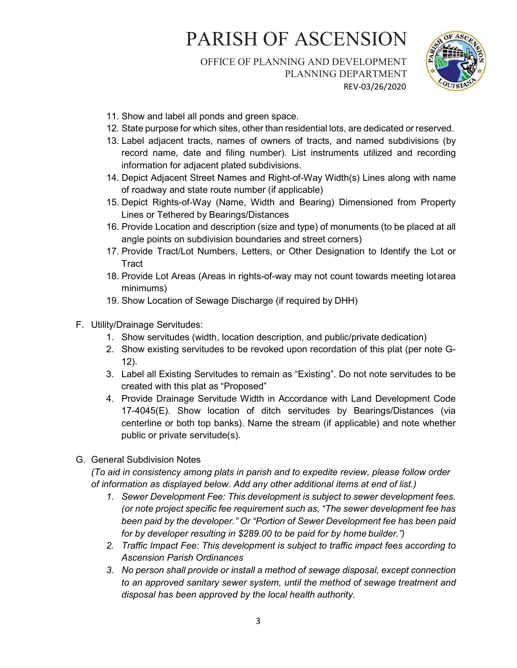#### OFFICE OF PLANNING AND DEVELOPMENT PLANNING DEPARTMENT REV-03/26/2020



- 11. Show and label all ponds and green space.
- 12. State purpose for which sites, other than residential lots, are dedicated or reserved.
- 13. Label adjacent tracts, names of owners of tracts, and named subdivisions (by record name, date and filing number). List instruments utilized and recording information for adjacent plated subdivisions.
- 14. Depict Adjacent Street Names and Right-of-Way Width(s) Lines along with name of roadway and state route number (if applicable)
- 15. Depict Rights-of-Way (Name, Width and Bearing) Dimensioned from Property Lines or Tethered by Bearings/Distances
- 16. Provide Location and description (size and type) of monuments (to be placed at all angle points on subdivision boundaries and street corners)
- 17. Provide Tract/Lot Numbers, Letters, or Other Designation to Identify the Lot or **Tract**
- 18. Provide Lot Areas (Areas in rights-of-way may not count towards meeting lot area minimums)
- 19. Show Location of Sewage Discharge (if required by DHH)
- F. Utility/Drainage Servitudes:
	- 1. Show servitudes (width, location description, and public/private dedication)
	- 2. Show existing servitudes to be revoked upon recordation of this plat (per note G-12).
	- 3. Label all Existing Servitudes to remain as "Existing". Do not note servitudes to be created with this plat as "Proposed"
	- 4. Provide Drainage Servitude Width in Accordance with Land Development Code 17-4045(E). Show location of ditch servitudes by Bearings/Distances (via centerline or both top banks). Name the stream (if applicable) and note whether public or private servitude(s).
- G. General Subdivision Notes

(To aid in consistency among plats in parish and to expedite review, please follow order of information as displayed below. Add any other additional items at end of list.)

- 1. Sewer Development Fee: This development is subject to sewer development fees. (or note project specific fee requirement such as, "The sewer development fee has been paid by the developer." Or "Portion of Sewer Development fee has been paid for by developer resulting in \$289.00 to be paid for by home builder.")
- 2. Traffic Impact Fee: This development is subject to traffic impact fees according to Ascension Parish Ordinances
- 3. No person shall provide or install a method of sewage disposal, except connection to an approved sanitary sewer system, until the method of sewage treatment and disposal has been approved by the local health authority.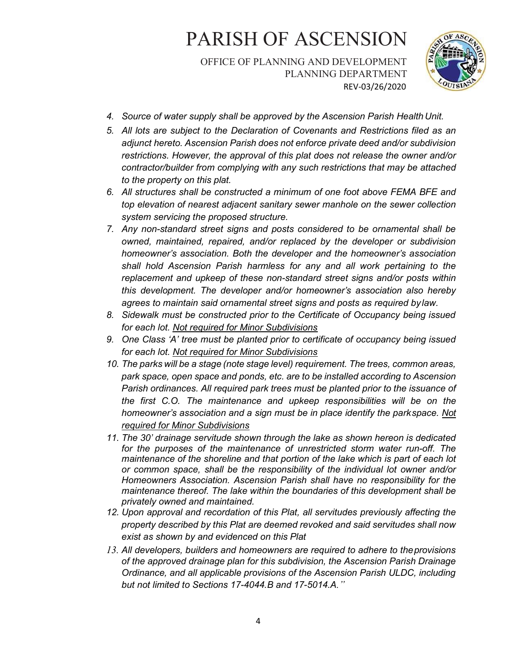OFFICE OF PLANNING AND DEVELOPMENT PLANNING DEPARTMENT REV-03/26/2020



- 4. Source of water supply shall be approved by the Ascension Parish Health Unit.
- 5. All lots are subject to the Declaration of Covenants and Restrictions filed as an adjunct hereto. Ascension Parish does not enforce private deed and/or subdivision restrictions. However, the approval of this plat does not release the owner and/or contractor/builder from complying with any such restrictions that may be attached to the property on this plat.
- 6. All structures shall be constructed a minimum of one foot above FEMA BFE and top elevation of nearest adjacent sanitary sewer manhole on the sewer collection system servicing the proposed structure.
- 7. Any non-standard street signs and posts considered to be ornamental shall be owned, maintained, repaired, and/or replaced by the developer or subdivision homeowner's association. Both the developer and the homeowner's association shall hold Ascension Parish harmless for any and all work pertaining to the replacement and upkeep of these non-standard street signs and/or posts within this development. The developer and/or homeowner's association also hereby agrees to maintain said ornamental street signs and posts as required by law.
- 8. Sidewalk must be constructed prior to the Certificate of Occupancy being issued for each lot. Not required for Minor Subdivisions
- 9. One Class 'A' tree must be planted prior to certificate of occupancy being issued for each lot. Not required for Minor Subdivisions
- 10. The parks will be a stage (note stage level) requirement. The trees, common areas, park space, open space and ponds, etc. are to be installed according to Ascension Parish ordinances. All required park trees must be planted prior to the issuance of the first C.O. The maintenance and upkeep responsibilities will be on the homeowner's association and a sign must be in place identify the park space. Not required for Minor Subdivisions
- 11. The 30' drainage servitude shown through the lake as shown hereon is dedicated for the purposes of the maintenance of unrestricted storm water run-off. The maintenance of the shoreline and that portion of the lake which is part of each lot or common space, shall be the responsibility of the individual lot owner and/or Homeowners Association. Ascension Parish shall have no responsibility for the maintenance thereof. The lake within the boundaries of this development shall be privately owned and maintained.
- 12. Upon approval and recordation of this Plat, all servitudes previously affecting the property described by this Plat are deemed revoked and said servitudes shall now exist as shown by and evidenced on this Plat
- 13. All developers, builders and homeowners are required to adhere to the provisions of the approved drainage plan for this subdivision, the Ascension Parish Drainage Ordinance, and all applicable provisions of the Ascension Parish ULDC, including but not limited to Sections 17-4044.B and 17-5014.A."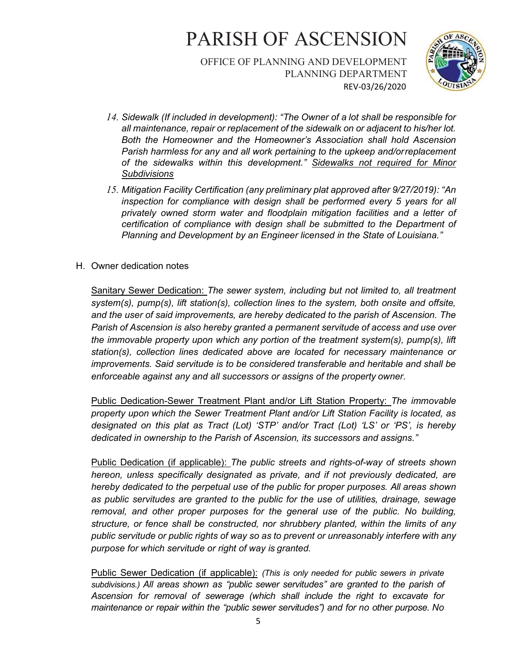OFFICE OF PLANNING AND DEVELOPMENT PLANNING DEPARTMENT REV-03/26/2020



- 14. Sidewalk (If included in development): "The Owner of a lot shall be responsible for all maintenance, repair or replacement of the sidewalk on or adjacent to his/her lot. Both the Homeowner and the Homeowner's Association shall hold Ascension Parish harmless for any and all work pertaining to the upkeep and/or replacement of the sidewalks within this development." Sidewalks not required for Minor **Subdivisions**
- 15. Mitigation Facility Certification (any preliminary plat approved after 9/27/2019): "An inspection for compliance with design shall be performed every 5 years for all privately owned storm water and floodplain mitigation facilities and a letter of certification of compliance with design shall be submitted to the Department of Planning and Development by an Engineer licensed in the State of Louisiana."
- H. Owner dedication notes

Sanitary Sewer Dedication: The sewer system, including but not limited to, all treatment system(s), pump(s), lift station(s), collection lines to the system, both onsite and offsite, and the user of said improvements, are hereby dedicated to the parish of Ascension. The Parish of Ascension is also hereby granted a permanent servitude of access and use over the immovable property upon which any portion of the treatment system(s), pump(s), lift station(s), collection lines dedicated above are located for necessary maintenance or improvements. Said servitude is to be considered transferable and heritable and shall be enforceable against any and all successors or assigns of the property owner.

Public Dedication-Sewer Treatment Plant and/or Lift Station Property: The immovable property upon which the Sewer Treatment Plant and/or Lift Station Facility is located, as designated on this plat as Tract (Lot) 'STP' and/or Tract (Lot) 'LS' or 'PS', is hereby dedicated in ownership to the Parish of Ascension, its successors and assigns."

Public Dedication (if applicable): The public streets and rights-of-way of streets shown hereon, unless specifically designated as private, and if not previously dedicated, are hereby dedicated to the perpetual use of the public for proper purposes. All areas shown as public servitudes are granted to the public for the use of utilities, drainage, sewage removal, and other proper purposes for the general use of the public. No building, structure, or fence shall be constructed, nor shrubbery planted, within the limits of any public servitude or public rights of way so as to prevent or unreasonably interfere with any purpose for which servitude or right of way is granted.

Public Sewer Dedication (if applicable): (This is only needed for public sewers in private subdivisions.) All areas shown as "public sewer servitudes" are granted to the parish of Ascension for removal of sewerage (which shall include the right to excavate for maintenance or repair within the "public sewer servitudes") and for no other purpose. No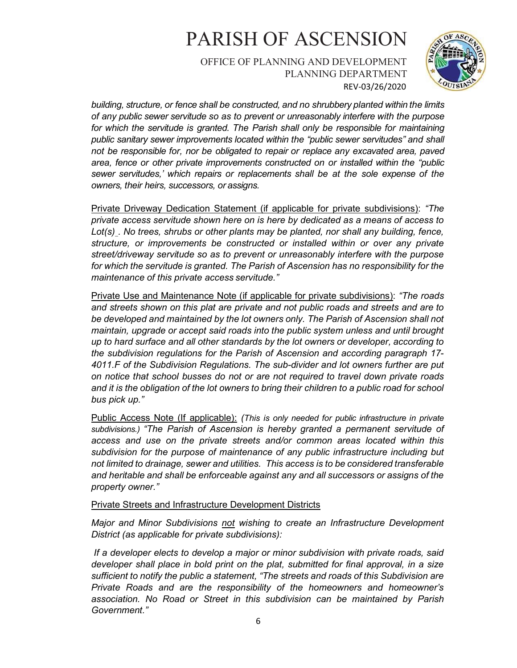OFFICE OF PLANNING AND DEVELOPMENT PLANNING DEPARTMENT REV-03/26/2020



building, structure, or fence shall be constructed, and no shrubbery planted within the limits of any public sewer servitude so as to prevent or unreasonably interfere with the purpose for which the servitude is granted. The Parish shall only be responsible for maintaining public sanitary sewer improvements located within the "public sewer servitudes" and shall not be responsible for, nor be obligated to repair or replace any excavated area, paved area, fence or other private improvements constructed on or installed within the "public sewer servitudes,' which repairs or replacements shall be at the sole expense of the owners, their heirs, successors, or assigns.

Private Driveway Dedication Statement (if applicable for private subdivisions): "The private access servitude shown here on is here by dedicated as a means of access to Lot(s) . No trees, shrubs or other plants may be planted, nor shall any building, fence, structure, or improvements be constructed or installed within or over any private street/driveway servitude so as to prevent or unreasonably interfere with the purpose for which the servitude is granted. The Parish of Ascension has no responsibility for the maintenance of this private access servitude."

Private Use and Maintenance Note (if applicable for private subdivisions): "The roads and streets shown on this plat are private and not public roads and streets and are to be developed and maintained by the lot owners only. The Parish of Ascension shall not maintain, upgrade or accept said roads into the public system unless and until brought up to hard surface and all other standards by the lot owners or developer, according to the subdivision regulations for the Parish of Ascension and according paragraph 17- 4011.F of the Subdivision Regulations. The sub-divider and lot owners further are put on notice that school busses do not or are not required to travel down private roads and it is the obligation of the lot owners to bring their children to a public road for school bus pick up."

Public Access Note (If applicable): (This is only needed for public infrastructure in private subdivisions.) "The Parish of Ascension is hereby granted a permanent servitude of access and use on the private streets and/or common areas located within this subdivision for the purpose of maintenance of any public infrastructure including but not limited to drainage, sewer and utilities. This access is to be considered transferable and heritable and shall be enforceable against any and all successors or assigns of the property owner."

#### Private Streets and Infrastructure Development Districts

Major and Minor Subdivisions not wishing to create an Infrastructure Development District (as applicable for private subdivisions):

If a developer elects to develop a major or minor subdivision with private roads, said developer shall place in bold print on the plat, submitted for final approval, in a size sufficient to notify the public a statement, "The streets and roads of this Subdivision are Private Roads and are the responsibility of the homeowners and homeowner's association. No Road or Street in this subdivision can be maintained by Parish Government."